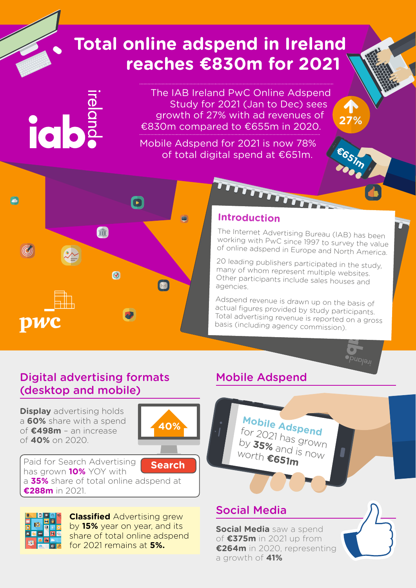# **Total online adspend in Ireland reaches €830m for 2021**

ial

The IAB Ireland PwC Online Adspend Study for 2021 (Jan to Dec) sees growth of 27% with ad revenues of €830m compared to €655m in 2020.

Mobile Adspend for 2021 is now 78% of total digital spend at €651m.



### **Introduction**

خلفلفل لملاحقها

The Internet Advertising Bureau (IAB) has been working with PwC since 1997 to survey the value of online adspend in Europe and North America.

**€651m**

1

**27%**

20 leading publishers participated in the study, many of whom represent multiple websites. Other participants include sales houses and agencies.

Adspend revenue is drawn up on the basis of actual figures provided by study participants. Total advertising revenue is reported on a gross basis (including agency commission).

### Digital advertising formats (desktop and mobile)

**Display** advertising holds a **60%** share with a spend of **€498m** – an increase of **40%** on 2020.



Paid for Search Advertising has grown **10%** YOY with a **35%** share of total online adspend at **€288m** in 2021. **Search**



**Classified** Advertising grew by **15%** year on year, and its share of total online adspend for 2021 remains at **5%.**

### Mobile Adspend



### Social Media

**Social Media** saw a spend of **€375m** in 2021 up from **€264m** in 2020, representing a growth of **41%**